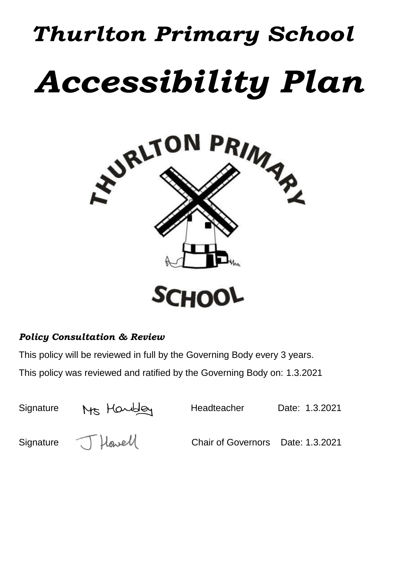# *Thurlton Primary School Accessibility Plan*



## *Policy Consultation & Review*

This policy will be reviewed in full by the Governing Body every 3 years. This policy was reviewed and ratified by the Governing Body on: 1.3.2021

| Signature | Ms Handley         | Headteacher                       | Date: 1.3.2021 |
|-----------|--------------------|-----------------------------------|----------------|
|           | Signature J Howell | Chair of Governors Date: 1.3.2021 |                |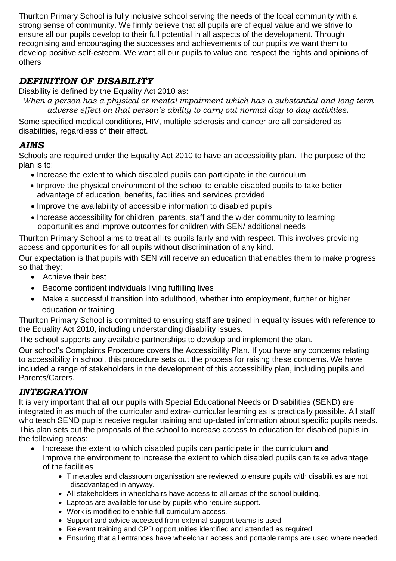Thurlton Primary School is fully inclusive school serving the needs of the local community with a strong sense of community. We firmly believe that all pupils are of equal value and we strive to ensure all our pupils develop to their full potential in all aspects of the development. Through recognising and encouraging the successes and achievements of our pupils we want them to develop positive self-esteem. We want all our pupils to value and respect the rights and opinions of others

## *DEFINITION OF DISABILITY*

Disability is defined by the Equality Act 2010 as:

*When a person has a physical or mental impairment which has a substantial and long term adverse effect on that person's ability to carry out normal day to day activities.*

Some specified medical conditions, HIV, multiple sclerosis and cancer are all considered as disabilities, regardless of their effect.

### *AIMS*

Schools are required under the Equality Act 2010 to have an accessibility plan. The purpose of the plan is to:

- Increase the extent to which disabled pupils can participate in the curriculum
- Improve the physical environment of the school to enable disabled pupils to take better advantage of education, benefits, facilities and services provided
- Improve the availability of accessible information to disabled pupils
- Increase accessibility for children, parents, staff and the wider community to learning opportunities and improve outcomes for children with SEN/ additional needs

Thurlton Primary School aims to treat all its pupils fairly and with respect. This involves providing access and opportunities for all pupils without discrimination of any kind.

Our expectation is that pupils with SEN will receive an education that enables them to make progress so that they:

- Achieve their best
- Become confident individuals living fulfilling lives
- Make a successful transition into adulthood, whether into employment, further or higher education or training

Thurlton Primary School is committed to ensuring staff are trained in equality issues with reference to the Equality Act 2010, including understanding disability issues.

The school supports any available partnerships to develop and implement the plan.

Our school's Complaints Procedure covers the Accessibility Plan. If you have any concerns relating to accessibility in school, this procedure sets out the process for raising these concerns. We have included a range of stakeholders in the development of this accessibility plan, including pupils and Parents/Carers.

## *INTEGRATION*

It is very important that all our pupils with Special Educational Needs or Disabilities (SEND) are integrated in as much of the curricular and extra- curricular learning as is practically possible. All staff who teach SEND pupils receive regular training and up-dated information about specific pupils needs. This plan sets out the proposals of the school to increase access to education for disabled pupils in the following areas:

- Increase the extent to which disabled pupils can participate in the curriculum **and**  Improve the environment to increase the extent to which disabled pupils can take advantage of the facilities
	- Timetables and classroom organisation are reviewed to ensure pupils with disabilities are not disadvantaged in anyway.
	- All stakeholders in wheelchairs have access to all areas of the school building.
	- Laptops are available for use by pupils who require support.
	- Work is modified to enable full curriculum access.
	- Support and advice accessed from external support teams is used.
	- Relevant training and CPD opportunities identified and attended as required
	- Ensuring that all entrances have wheelchair access and portable ramps are used where needed.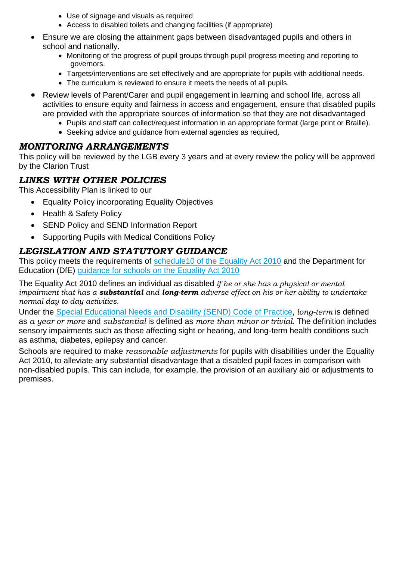- Use of signage and visuals as required
- Access to disabled toilets and changing facilities (if appropriate)
- Ensure we are closing the attainment gaps between disadvantaged pupils and others in school and nationally.
	- Monitoring of the progress of pupil groups through pupil progress meeting and reporting to governors.
	- Targets/interventions are set effectively and are appropriate for pupils with additional needs.
	- The curriculum is reviewed to ensure it meets the needs of all pupils.
- Review levels of Parent/Carer and pupil engagement in learning and school life, across all activities to ensure equity and fairness in access and engagement, ensure that disabled pupils are provided with the appropriate sources of information so that they are not disadvantaged
	- Pupils and staff can collect/request information in an appropriate format (large print or Braille).
	- Seeking advice and guidance from external agencies as required,

#### *MONITORING ARRANGEMENTS*

This policy will be reviewed by the LGB every 3 years and at every review the policy will be approved by the Clarion Trust

#### *LINKS WITH OTHER POLICIES*

This Accessibility Plan is linked to our

- Equality Policy incorporating Equality Objectives
- Health & Safety Policy
- SEND Policy and SEND Information Report
- Supporting Pupils with Medical Conditions Policy

#### *LEGISLATION AND STATUTORY GUIDANCE*

This policy meets the requirements of schedule10 of the Equality Act 2010 and the Department for Education (DfE) guidance for schools on the Equality Act 2010

The Equality Act 2010 defines an individual as disabled *if he or she has a physical or mental impairment that has a substantial and long-term adverse effect on his or her ability to undertake normal day to day activities.*

Under the Special Educational Needs and Disability (SEND) Code of Practice, *long-term* is defined as *a year or more* and *substantial* is defined as *more than minor or trivial*. The definition includes sensory impairments such as those affecting sight or hearing, and long-term health conditions such as asthma, diabetes, epilepsy and cancer.

Schools are required to make *reasonable adjustments* for pupils with disabilities under the Equality Act 2010, to alleviate any substantial disadvantage that a disabled pupil faces in comparison with non-disabled pupils. This can include, for example, the provision of an auxiliary aid or adjustments to premises.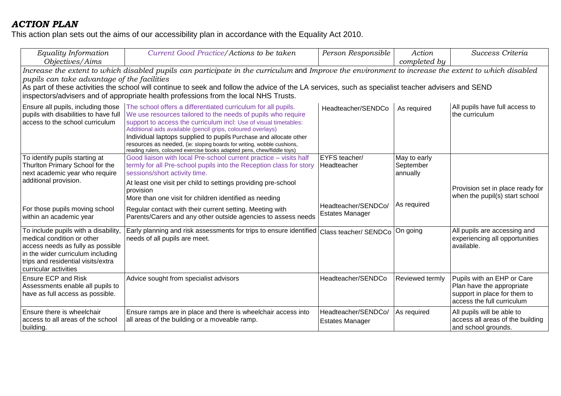# *ACTION PLAN*

This action plan sets out the aims of our accessibility plan in accordance with the Equality Act 2010.

| Equality Information<br>Objectives/Aims                                                                                                                                                                                                                                                                                                                                                                                                           | Current Good Practice/Actions to be taken                                                                                                                                                                                                                                                                                                                                                                                                                                                  | Person Responsible                            | Action<br>completed by                | Success Criteria                                                                                                      |  |
|---------------------------------------------------------------------------------------------------------------------------------------------------------------------------------------------------------------------------------------------------------------------------------------------------------------------------------------------------------------------------------------------------------------------------------------------------|--------------------------------------------------------------------------------------------------------------------------------------------------------------------------------------------------------------------------------------------------------------------------------------------------------------------------------------------------------------------------------------------------------------------------------------------------------------------------------------------|-----------------------------------------------|---------------------------------------|-----------------------------------------------------------------------------------------------------------------------|--|
| Increase the extent to which disabled pupils can participate in the curriculum and Improve the environment to increase the extent to which disabled<br>pupils can take advantage of the facilities<br>As part of these activities the school will continue to seek and follow the advice of the LA services, such as specialist teacher advisers and SEND<br>inspectors/advisers and of appropriate health professions from the local NHS Trusts. |                                                                                                                                                                                                                                                                                                                                                                                                                                                                                            |                                               |                                       |                                                                                                                       |  |
| Ensure all pupils, including those<br>pupils with disabilities to have full<br>access to the school curriculum                                                                                                                                                                                                                                                                                                                                    | The school offers a differentiated curriculum for all pupils.<br>We use resources tailored to the needs of pupils who require<br>support to access the curriculum incl: Use of visual timetables:<br>Additional aids available (pencil grips, coloured overlays)<br>Individual laptops supplied to pupils Purchase and allocate other<br>resources as needed, (ie: sloping boards for writing, wobble cushions,<br>reading rulers, coloured exercise books adapted pens, chew/fiddle toys) | Headteacher/SENDCo                            | As required                           | All pupils have full access to<br>the curriculum                                                                      |  |
| To identify pupils starting at<br>Thurlton Primary School for the<br>next academic year who require<br>additional provision.                                                                                                                                                                                                                                                                                                                      | Good liaison with local Pre-school current practice - visits half<br>termly for all Pre-school pupils into the Reception class for story<br>sessions/short activity time.<br>At least one visit per child to settings providing pre-school<br>provision<br>More than one visit for children identified as needing                                                                                                                                                                          | EYFS teacher/<br>Headteacher                  | May to early<br>September<br>annually | Provision set in place ready for<br>when the pupil(s) start school                                                    |  |
| For those pupils moving school<br>within an academic year                                                                                                                                                                                                                                                                                                                                                                                         | Regular contact with their current setting. Meeting with<br>Parents/Carers and any other outside agencies to assess needs                                                                                                                                                                                                                                                                                                                                                                  | Headteacher/SENDCo/<br><b>Estates Manager</b> | As required                           |                                                                                                                       |  |
| To include pupils with a disability,<br>medical condition or other<br>access needs as fully as possible<br>in the wider curriculum including<br>trips and residential visits/extra<br>curricular activities                                                                                                                                                                                                                                       | Early planning and risk assessments for trips to ensure identified<br>needs of all pupils are meet.                                                                                                                                                                                                                                                                                                                                                                                        | Class teacher/ SENDCo                         | On going                              | All pupils are accessing and<br>experiencing all opportunities<br>available.                                          |  |
| <b>Ensure ECP and Risk</b><br>Assessments enable all pupils to<br>have as full access as possible.                                                                                                                                                                                                                                                                                                                                                | Advice sought from specialist advisors                                                                                                                                                                                                                                                                                                                                                                                                                                                     | Headteacher/SENDCo                            | Reviewed termly                       | Pupils with an EHP or Care<br>Plan have the appropriate<br>support in place for them to<br>access the full curriculum |  |
| Ensure there is wheelchair<br>access to all areas of the school<br>building.                                                                                                                                                                                                                                                                                                                                                                      | Ensure ramps are in place and there is wheelchair access into<br>all areas of the building or a moveable ramp.                                                                                                                                                                                                                                                                                                                                                                             | Headteacher/SENDCo/<br><b>Estates Manager</b> | As required                           | All pupils will be able to<br>access all areas of the building<br>and school grounds.                                 |  |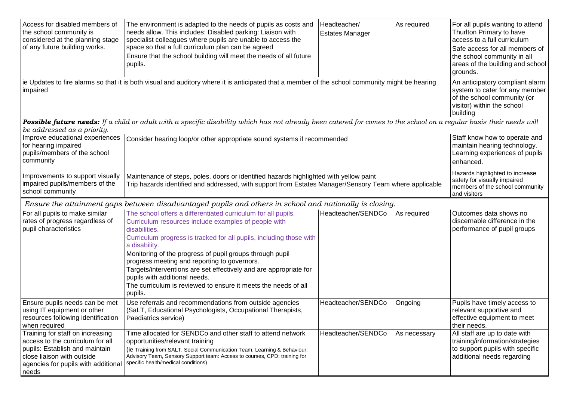| Access for disabled members of<br>the school community is<br>considered at the planning stage<br>of any future building works.      | The environment is adapted to the needs of pupils as costs and<br>needs allow. This includes: Disabled parking: Liaison with<br>specialist colleagues where pupils are unable to access the<br>space so that a full curriculum plan can be agreed<br>Ensure that the school building will meet the needs of all future<br>pupils.<br>ie Updates to fire alarms so that it is both visual and auditory where it is anticipated that a member of the school community might be hearing | Headteacher/<br><b>Estates Manager</b>                                                                             | As required | For all pupils wanting to attend<br>Thurlton Primary to have<br>access to a full curriculum<br>Safe access for all members of<br>the school community in all<br>areas of the building and school<br>grounds.<br>An anticipatory compliant alarm |
|-------------------------------------------------------------------------------------------------------------------------------------|--------------------------------------------------------------------------------------------------------------------------------------------------------------------------------------------------------------------------------------------------------------------------------------------------------------------------------------------------------------------------------------------------------------------------------------------------------------------------------------|--------------------------------------------------------------------------------------------------------------------|-------------|-------------------------------------------------------------------------------------------------------------------------------------------------------------------------------------------------------------------------------------------------|
| impaired                                                                                                                            | system to cater for any member<br>of the school community (or<br>visitor) within the school<br>building                                                                                                                                                                                                                                                                                                                                                                              |                                                                                                                    |             |                                                                                                                                                                                                                                                 |
|                                                                                                                                     | Possible future needs: If a child or adult with a specific disability which has not already been catered for comes to the school on a regular basis their needs will                                                                                                                                                                                                                                                                                                                 |                                                                                                                    |             |                                                                                                                                                                                                                                                 |
| be addressed as a priority.<br>Improve educational experiences<br>for hearing impaired<br>pupils/members of the school<br>community | Consider hearing loop/or other appropriate sound systems if recommended                                                                                                                                                                                                                                                                                                                                                                                                              |                                                                                                                    |             | Staff know how to operate and<br>maintain hearing technology.<br>Learning experiences of pupils<br>enhanced.                                                                                                                                    |
| Improvements to support visually<br>impaired pupils/members of the<br>school community                                              | Maintenance of steps, poles, doors or identified hazards highlighted with yellow paint<br>Trip hazards identified and addressed, with support from Estates Manager/Sensory Team where applicable                                                                                                                                                                                                                                                                                     | Hazards highlighted to increase<br>safety for visually impaired<br>members of the school community<br>and visitors |             |                                                                                                                                                                                                                                                 |
|                                                                                                                                     | Ensure the attainment gaps between disadvantaged pupils and others in school and nationally is closing.                                                                                                                                                                                                                                                                                                                                                                              |                                                                                                                    |             |                                                                                                                                                                                                                                                 |
| For all pupils to make similar<br>rates of progress regardless of<br>pupil characteristics                                          | The school offers a differentiated curriculum for all pupils.<br>Curriculum resources include examples of people with<br>disabilities.<br>Curriculum progress is tracked for all pupils, including those with                                                                                                                                                                                                                                                                        | Headteacher/SENDCo                                                                                                 | As required | Outcomes data shows no<br>discernable difference in the<br>performance of pupil groups                                                                                                                                                          |
|                                                                                                                                     | a disability.<br>Monitoring of the progress of pupil groups through pupil<br>progress meeting and reporting to governors.<br>Targets/interventions are set effectively and are appropriate for<br>pupils with additional needs.<br>The curriculum is reviewed to ensure it meets the needs of all<br>pupils.                                                                                                                                                                         |                                                                                                                    |             |                                                                                                                                                                                                                                                 |
| Ensure pupils needs can be met<br>using IT equipment or other<br>resources following identification<br>when required                | Use referrals and recommendations from outside agencies<br>(SaLT, Educational Psychologists, Occupational Therapists,<br>Paediatrics service)                                                                                                                                                                                                                                                                                                                                        | Headteacher/SENDCo                                                                                                 | Ongoing     | Pupils have timely access to<br>relevant supportive and<br>effective equipment to meet<br>their needs.                                                                                                                                          |